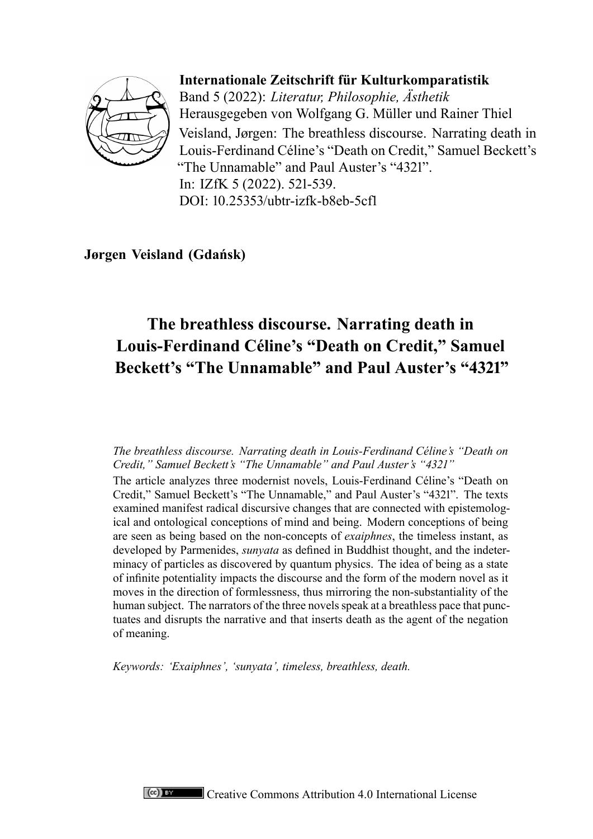

**Internationale Zeitschrift für Kulturkomparatistik** Band 5 (2022): *Literatur, Philosophie, Ästhetik* Herausgegeben von Wolfgang G. Müller und Rainer Thiel Veisland, Jørgen: The breathless discourse. Narrating death in Louis-Ferdinand Céline's "Death on Credit," Samuel Beckett's "The Unnamable" and Paul Auster's "4321". In: IZfK 5 (2022). 521-539. DOI: 10.25353/ubtr-izfk-b8eb-5cf1

**Jørgen Veisland (Gdańsk)**

# **The breathless discourse. Narrating death in Louis-Ferdinand Céline's "Death on Credit," Samuel Beckett's "The Unnamable" and Paul Auster's "4321"**

*The breathless discourse. Narrating death in Louis-Ferdinand Céline's "Death on Credit," Samuel Beckett's "The Unnamable" and Paul Auster's "4321"*

The article analyzes three modernist novels, Louis-Ferdinand Céline's "Death on Credit," Samuel Beckett's "The Unnamable," and Paul Auster's "4321". The texts examined manifest radical discursive changes that are connected with epistemological and ontological conceptions of mind and being. Modern conceptions of being are seen as being based on the non-concepts of *exaiphnes*, the timeless instant, as developed by Parmenides, *sunyata* as defined in Buddhist thought, and the indeterminacy of particles as discovered by quantum physics. The idea of being as a state of infinite potentiality impacts the discourse and the form of the modern novel as it moves in the direction of formlessness, thus mirroring the non-substantiality of the human subject. The narrators of the three novels speak at a breathless pace that punctuates and disrupts the narrative and that inserts death as the agent of the negation of meaning.

*Keywords: 'Exaiphnes', 'sunyata', timeless, breathless, death.*

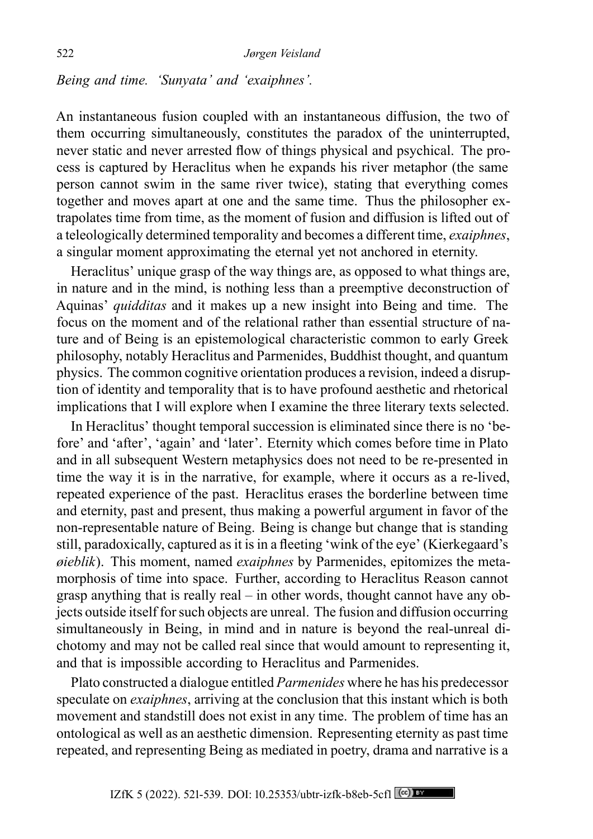*Being and time. 'Sunyata' and 'exaiphnes'.*

An instantaneous fusion coupled with an instantaneous diffusion, the two of them occurring simultaneously, constitutes the paradox of the uninterrupted, never static and never arrested flow of things physical and psychical. The process is captured by Heraclitus when he expands his river metaphor (the same person cannot swim in the same river twice), stating that everything comes together and moves apart at one and the same time. Thus the philosopher extrapolates time from time, as the moment of fusion and diffusion is lifted out of a teleologically determined temporality and becomes a different time, *exaiphnes*, a singular moment approximating the eternal yet not anchored in eternity.

Heraclitus' unique grasp of the way things are, as opposed to what things are, in nature and in the mind, is nothing less than a preemptive deconstruction of Aquinas' *quidditas* and it makes up a new insight into Being and time. The focus on the moment and of the relational rather than essential structure of nature and of Being is an epistemological characteristic common to early Greek philosophy, notably Heraclitus and Parmenides, Buddhist thought, and quantum physics. The common cognitive orientation produces a revision, indeed a disruption of identity and temporality that is to have profound aesthetic and rhetorical implications that I will explore when I examine the three literary texts selected.

In Heraclitus' thought temporal succession is eliminated since there is no 'before' and 'after', 'again' and 'later'. Eternity which comes before time in Plato and in all subsequent Western metaphysics does not need to be re-presented in time the way it is in the narrative, for example, where it occurs as a re-lived, repeated experience of the past. Heraclitus erases the borderline between time and eternity, past and present, thus making a powerful argument in favor of the non-representable nature of Being. Being is change but change that is standing still, paradoxically, captured as it is in a fleeting 'wink of the eye' (Kierkegaard's *øieblik*). This moment, named *exaiphnes* by Parmenides, epitomizes the metamorphosis of time into space. Further, according to Heraclitus Reason cannot grasp anything that is really real – in other words, thought cannot have any objects outside itself for such objects are unreal. The fusion and diffusion occurring simultaneously in Being, in mind and in nature is beyond the real-unreal dichotomy and may not be called real since that would amount to representing it, and that is impossible according to Heraclitus and Parmenides.

Plato constructed a dialogue entitled *Parmenides* where he has his predecessor speculate on *exaiphnes*, arriving at the conclusion that this instant which is both movement and standstill does not exist in any time. The problem of time has an ontological as well as an aesthetic dimension. Representing eternity as past time repeated, and representing Being as mediated in poetry, drama and narrative is a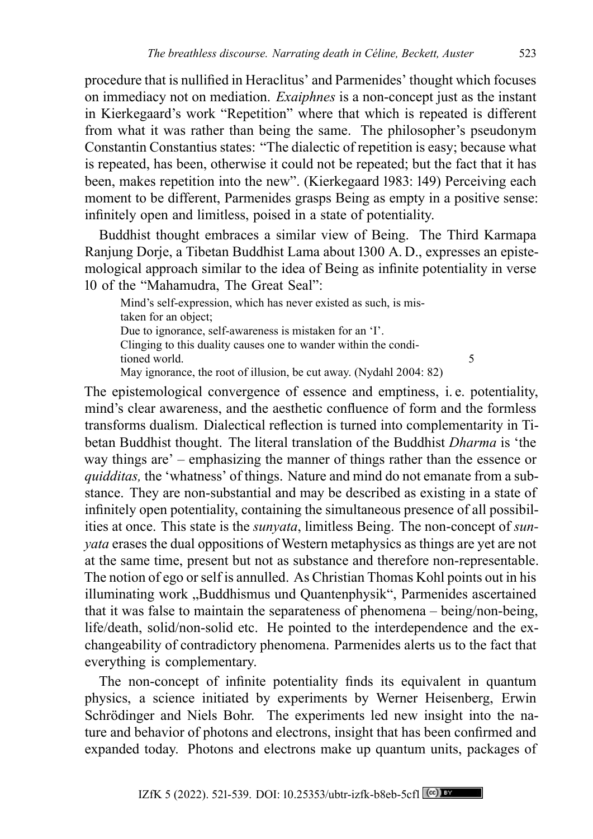procedure that is nullified in Heraclitus' and Parmenides' thought which focuses on immediacy not on mediation. *Exaiphnes* is a non-concept just as the instant in Kierkegaard's work "Repetition" where that which is repeated is different from what it was rather than being the same. The philosopher's pseudonym Constantin Constantius states: "The dialectic of repetition is easy; because what is repeated, has been, otherwise it could not be repeated; but the fact that it has been, makes repetition into the new". (Kierkegaard 1983: 149) Perceiving each moment to be different, Parmenides grasps Being as empty in a positive sense: infinitely open and limitless, poised in a state of potentiality.

Buddhist thought embraces a similar view of Being. The Third Karmapa Ranjung Dorje, a Tibetan Buddhist Lama about 1300 A. D., expresses an epistemological approach similar to the idea of Being as infinite potentiality in verse 10 of the "Mahamudra, The Great Seal":

Mind's self-expression, which has never existed as such, is mistaken for an object; Due to ignorance, self-awareness is mistaken for an 'I'. Clinging to this duality causes one to wander within the conditioned world. 5 May ignorance, the root of illusion, be cut away. (Nydahl 2004: 82)

The epistemological convergence of essence and emptiness, i. e. potentiality, mind's clear awareness, and the aesthetic confluence of form and the formless transforms dualism. Dialectical reflection is turned into complementarity in Tibetan Buddhist thought. The literal translation of the Buddhist *Dharma* is 'the way things are' – emphasizing the manner of things rather than the essence or *quidditas,* the 'whatness' of things. Nature and mind do not emanate from a substance. They are non-substantial and may be described as existing in a state of infinitely open potentiality, containing the simultaneous presence of all possibilities at once. This state is the *sunyata*, limitless Being. The non-concept of *sunyata* erases the dual oppositions of Western metaphysics as things are yet are not at the same time, present but not as substance and therefore non-representable. The notion of ego or self is annulled. As Christian Thomas Kohl points out in his illuminating work "Buddhismus und Quantenphysik", Parmenides ascertained that it was false to maintain the separateness of phenomena – being/non-being, life/death, solid/non-solid etc. He pointed to the interdependence and the exchangeability of contradictory phenomena. Parmenides alerts us to the fact that everything is complementary.

The non-concept of infinite potentiality finds its equivalent in quantum physics, a science initiated by experiments by Werner Heisenberg, Erwin Schrödinger and Niels Bohr. The experiments led new insight into the nature and behavior of photons and electrons, insight that has been confirmed and expanded today. Photons and electrons make up quantum units, packages of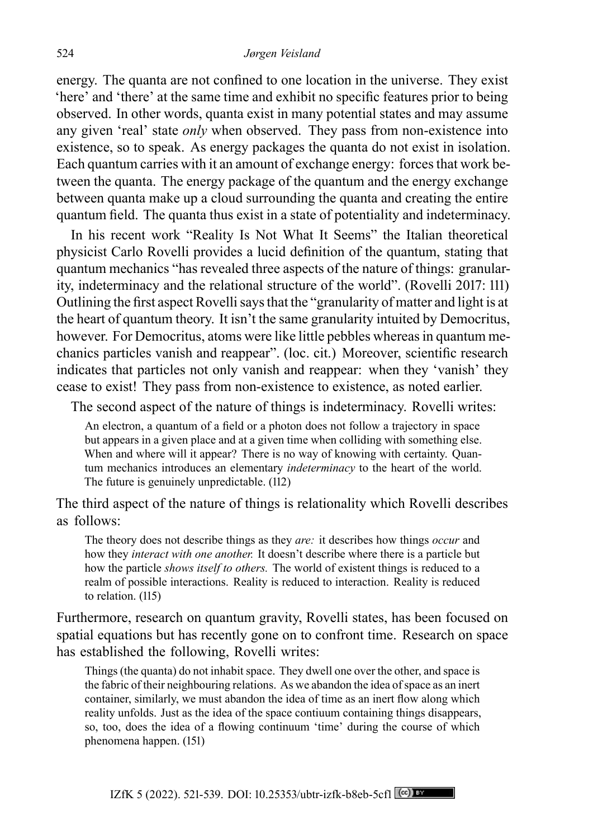energy. The quanta are not confined to one location in the universe. They exist 'here' and 'there' at the same time and exhibit no specific features prior to being observed. In other words, quanta exist in many potential states and may assume any given 'real' state *only* when observed. They pass from non-existence into existence, so to speak. As energy packages the quanta do not exist in isolation. Each quantum carries with it an amount of exchange energy: forces that work between the quanta. The energy package of the quantum and the energy exchange between quanta make up a cloud surrounding the quanta and creating the entire quantum field. The quanta thus exist in a state of potentiality and indeterminacy.

In his recent work "Reality Is Not What It Seems" the Italian theoretical physicist Carlo Rovelli provides a lucid definition of the quantum, stating that quantum mechanics "has revealed three aspects of the nature of things: granularity, indeterminacy and the relational structure of the world". (Rovelli 2017: 111) Outlining the first aspect Rovelli says that the "granularity of matter and light is at the heart of quantum theory. It isn't the same granularity intuited by Democritus, however. For Democritus, atoms were like little pebbles whereas in quantum mechanics particles vanish and reappear". (loc. cit.) Moreover, scientific research indicates that particles not only vanish and reappear: when they 'vanish' they cease to exist! They pass from non-existence to existence, as noted earlier.

The second aspect of the nature of things is indeterminacy. Rovelli writes:

An electron, a quantum of a field or a photon does not follow a trajectory in space but appears in a given place and at a given time when colliding with something else. When and where will it appear? There is no way of knowing with certainty. Quantum mechanics introduces an elementary *indeterminacy* to the heart of the world. The future is genuinely unpredictable. (112)

The third aspect of the nature of things is relationality which Rovelli describes as follows:

The theory does not describe things as they *are:* it describes how things *occur* and how they *interact with one another.* It doesn't describe where there is a particle but how the particle *shows itself to others.* The world of existent things is reduced to a realm of possible interactions. Reality is reduced to interaction. Reality is reduced to relation. (115)

Furthermore, research on quantum gravity, Rovelli states, has been focused on spatial equations but has recently gone on to confront time. Research on space has established the following, Rovelli writes:

Things (the quanta) do not inhabit space. They dwell one over the other, and space is the fabric of their neighbouring relations. As we abandon the idea of space as an inert container, similarly, we must abandon the idea of time as an inert flow along which reality unfolds. Just as the idea of the space contiuum containing things disappears, so, too, does the idea of a flowing continuum 'time' during the course of which phenomena happen. (151)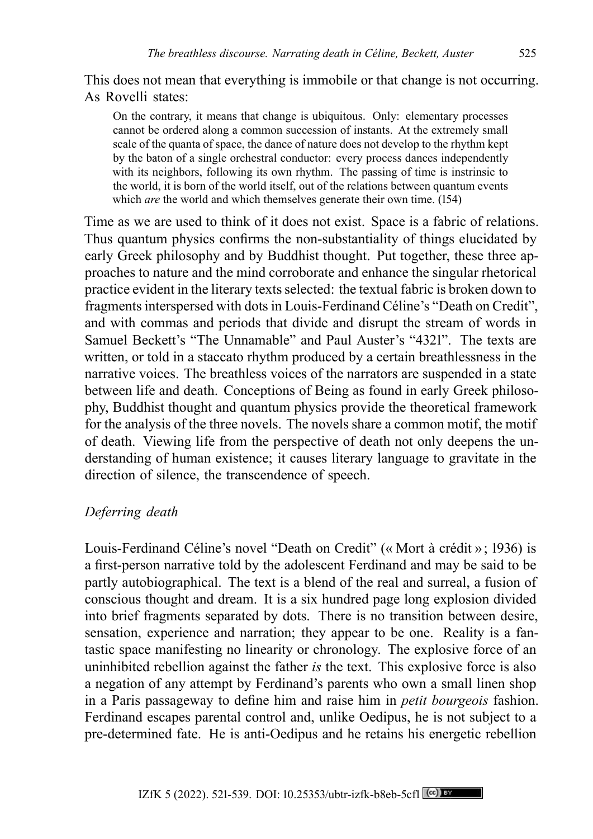This does not mean that everything is immobile or that change is not occurring. As Rovelli states:

On the contrary, it means that change is ubiquitous. Only: elementary processes cannot be ordered along a common succession of instants. At the extremely small scale of the quanta of space, the dance of nature does not develop to the rhythm kept by the baton of a single orchestral conductor: every process dances independently with its neighbors, following its own rhythm. The passing of time is instrinsic to the world, it is born of the world itself, out of the relations between quantum events which *are* the world and which themselves generate their own time. (154)

Time as we are used to think of it does not exist. Space is a fabric of relations. Thus quantum physics confirms the non-substantiality of things elucidated by early Greek philosophy and by Buddhist thought. Put together, these three approaches to nature and the mind corroborate and enhance the singular rhetorical practice evident in the literary texts selected: the textual fabric is broken down to fragments interspersed with dots in Louis-Ferdinand Céline's "Death on Credit", and with commas and periods that divide and disrupt the stream of words in Samuel Beckett's "The Unnamable" and Paul Auster's "4321". The texts are written, or told in a staccato rhythm produced by a certain breathlessness in the narrative voices. The breathless voices of the narrators are suspended in a state between life and death. Conceptions of Being as found in early Greek philosophy, Buddhist thought and quantum physics provide the theoretical framework for the analysis of the three novels. The novels share a common motif, the motif of death. Viewing life from the perspective of death not only deepens the understanding of human existence; it causes literary language to gravitate in the direction of silence, the transcendence of speech.

# *Deferring death*

Louis-Ferdinand Céline's novel "Death on Credit" (« Mort à crédit »; 1936) is a first-person narrative told by the adolescent Ferdinand and may be said to be partly autobiographical. The text is a blend of the real and surreal, a fusion of conscious thought and dream. It is a six hundred page long explosion divided into brief fragments separated by dots. There is no transition between desire, sensation, experience and narration; they appear to be one. Reality is a fantastic space manifesting no linearity or chronology. The explosive force of an uninhibited rebellion against the father *is* the text. This explosive force is also a negation of any attempt by Ferdinand's parents who own a small linen shop in a Paris passageway to define him and raise him in *petit bourgeois* fashion. Ferdinand escapes parental control and, unlike Oedipus, he is not subject to a pre-determined fate. He is anti-Oedipus and he retains his energetic rebellion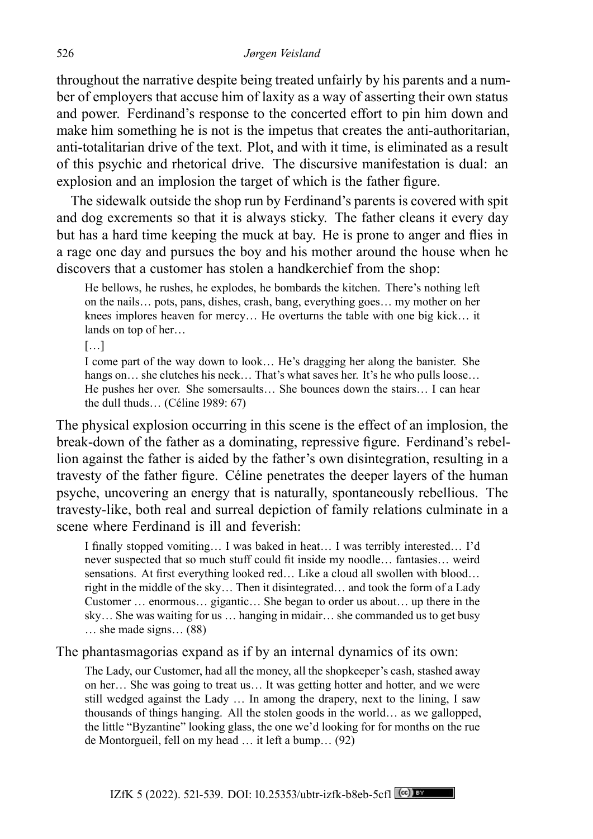throughout the narrative despite being treated unfairly by his parents and a number of employers that accuse him of laxity as a way of asserting their own status and power. Ferdinand's response to the concerted effort to pin him down and make him something he is not is the impetus that creates the anti-authoritarian, anti-totalitarian drive of the text. Plot, and with it time, is eliminated as a result of this psychic and rhetorical drive. The discursive manifestation is dual: an explosion and an implosion the target of which is the father figure.

The sidewalk outside the shop run by Ferdinand's parents is covered with spit and dog excrements so that it is always sticky. The father cleans it every day but has a hard time keeping the muck at bay. He is prone to anger and flies in a rage one day and pursues the boy and his mother around the house when he discovers that a customer has stolen a handkerchief from the shop:

He bellows, he rushes, he explodes, he bombards the kitchen. There's nothing left on the nails… pots, pans, dishes, crash, bang, everything goes… my mother on her knees implores heaven for mercy… He overturns the table with one big kick… it lands on top of her…

[…]

I come part of the way down to look… He's dragging her along the banister. She hangs on... she clutches his neck... That's what saves her. It's he who pulls loose... He pushes her over. She somersaults… She bounces down the stairs… I can hear the dull thuds… (Céline 1989: 67)

The physical explosion occurring in this scene is the effect of an implosion, the break-down of the father as a dominating, repressive figure. Ferdinand's rebellion against the father is aided by the father's own disintegration, resulting in a travesty of the father figure. Céline penetrates the deeper layers of the human psyche, uncovering an energy that is naturally, spontaneously rebellious. The travesty-like, both real and surreal depiction of family relations culminate in a scene where Ferdinand is ill and feverish:

I finally stopped vomiting… I was baked in heat… I was terribly interested… I'd never suspected that so much stuff could fit inside my noodle… fantasies… weird sensations. At first everything looked red… Like a cloud all swollen with blood… right in the middle of the sky… Then it disintegrated… and took the form of a Lady Customer … enormous… gigantic… She began to order us about… up there in the sky… She was waiting for us … hanging in midair… she commanded us to get busy … she made signs… (88)

The phantasmagorias expand as if by an internal dynamics of its own:

The Lady, our Customer, had all the money, all the shopkeeper's cash, stashed away on her… She was going to treat us… It was getting hotter and hotter, and we were still wedged against the Lady … In among the drapery, next to the lining, I saw thousands of things hanging. All the stolen goods in the world… as we gallopped, the little "Byzantine" looking glass, the one we'd looking for for months on the rue de Montorgueil, fell on my head … it left a bump… (92)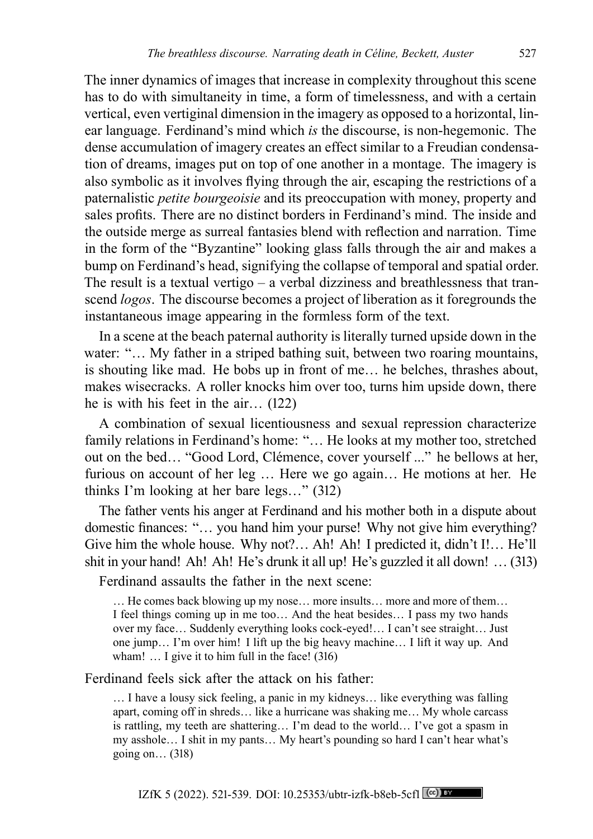The inner dynamics of images that increase in complexity throughout this scene has to do with simultaneity in time, a form of timelessness, and with a certain vertical, even vertiginal dimension in the imagery as opposed to a horizontal, linear language. Ferdinand's mind which *is* the discourse, is non-hegemonic. The dense accumulation of imagery creates an effect similar to a Freudian condensation of dreams, images put on top of one another in a montage. The imagery is also symbolic as it involves flying through the air, escaping the restrictions of a paternalistic *petite bourgeoisie* and its preoccupation with money, property and sales profits. There are no distinct borders in Ferdinand's mind. The inside and the outside merge as surreal fantasies blend with reflection and narration. Time in the form of the "Byzantine" looking glass falls through the air and makes a bump on Ferdinand's head, signifying the collapse of temporal and spatial order. The result is a textual vertigo  $-$  a verbal dizziness and breathlessness that transcend *logos*. The discourse becomes a project of liberation as it foregrounds the instantaneous image appearing in the formless form of the text.

In a scene at the beach paternal authority is literally turned upside down in the water: "... My father in a striped bathing suit, between two roaring mountains, is shouting like mad. He bobs up in front of me… he belches, thrashes about, makes wisecracks. A roller knocks him over too, turns him upside down, there he is with his feet in the air… (122)

A combination of sexual licentiousness and sexual repression characterize family relations in Ferdinand's home: "… He looks at my mother too, stretched out on the bed… "Good Lord, Clémence, cover yourself ..." he bellows at her, furious on account of her leg … Here we go again… He motions at her. He thinks I'm looking at her bare legs…" (312)

The father vents his anger at Ferdinand and his mother both in a dispute about domestic finances: "… you hand him your purse! Why not give him everything? Give him the whole house. Why not?… Ah! Ah! I predicted it, didn't I!… He'll shit in your hand! Ah! Ah! He's drunk it all up! He's guzzled it all down! … (313)

Ferdinand assaults the father in the next scene:

… He comes back blowing up my nose… more insults… more and more of them… I feel things coming up in me too… And the heat besides… I pass my two hands over my face… Suddenly everything looks cock-eyed!… I can't see straight… Just one jump… I'm over him! I lift up the big heavy machine… I lift it way up. And wham! ... I give it to him full in the face! (316)

Ferdinand feels sick after the attack on his father:

… I have a lousy sick feeling, a panic in my kidneys… like everything was falling apart, coming off in shreds… like a hurricane was shaking me… My whole carcass is rattling, my teeth are shattering… I'm dead to the world… I've got a spasm in my asshole… I shit in my pants… My heart's pounding so hard I can't hear what's going on… (318)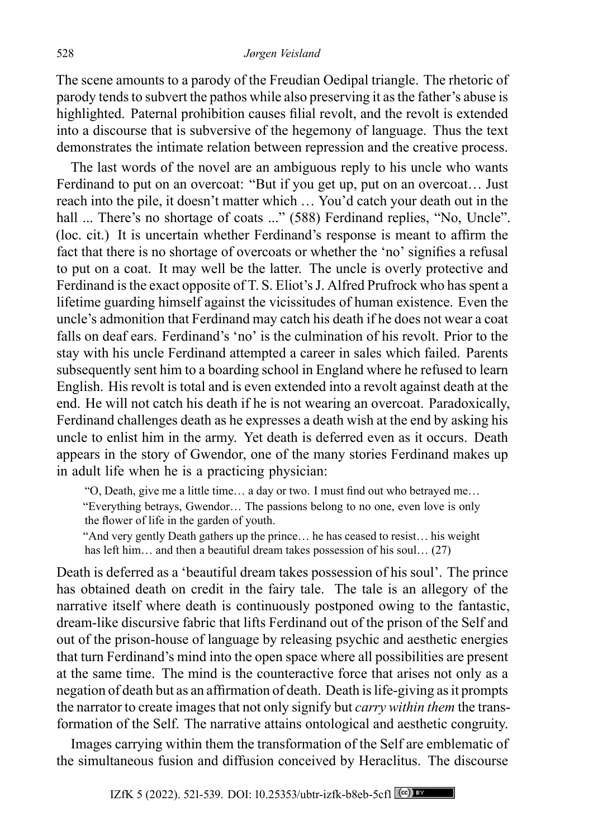#### 528 *Jørgen Veisland*

The scene amounts to a parody of the Freudian Oedipal triangle. The rhetoric of parody tends to subvert the pathos while also preserving it as the father's abuse is highlighted. Paternal prohibition causes filial revolt, and the revolt is extended into a discourse that is subversive of the hegemony of language. Thus the text demonstrates the intimate relation between repression and the creative process.

The last words of the novel are an ambiguous reply to his uncle who wants Ferdinand to put on an overcoat: "But if you get up, put on an overcoat… Just reach into the pile, it doesn't matter which … You'd catch your death out in the hall ... There's no shortage of coats ..." (588) Ferdinand replies, "No, Uncle". (loc. cit.) It is uncertain whether Ferdinand's response is meant to affirm the fact that there is no shortage of overcoats or whether the 'no' signifies a refusal to put on a coat. It may well be the latter. The uncle is overly protective and Ferdinand is the exact opposite of T. S. Eliot's J. Alfred Prufrock who has spent a lifetime guarding himself against the vicissitudes of human existence. Even the uncle's admonition that Ferdinand may catch his death if he does not wear a coat falls on deaf ears. Ferdinand's 'no' is the culmination of his revolt. Prior to the stay with his uncle Ferdinand attempted a career in sales which failed. Parents subsequently sent him to a boarding school in England where he refused to learn English. His revolt is total and is even extended into a revolt against death at the end. He will not catch his death if he is not wearing an overcoat. Paradoxically, Ferdinand challenges death as he expresses a death wish at the end by asking his uncle to enlist him in the army. Yet death is deferred even as it occurs. Death appears in the story of Gwendor, one of the many stories Ferdinand makes up in adult life when he is a practicing physician:

"O, Death, give me a little time… a day or two. I must find out who betrayed me… "Everything betrays, Gwendor… The passions belong to no one, even love is only the flower of life in the garden of youth.

"And very gently Death gathers up the prince… he has ceased to resist… his weight has left him... and then a beautiful dream takes possession of his soul... (27)

Death is deferred as a 'beautiful dream takes possession of his soul'. The prince has obtained death on credit in the fairy tale. The tale is an allegory of the narrative itself where death is continuously postponed owing to the fantastic, dream-like discursive fabric that lifts Ferdinand out of the prison of the Self and out of the prison-house of language by releasing psychic and aesthetic energies that turn Ferdinand's mind into the open space where all possibilities are present at the same time. The mind is the counteractive force that arises not only as a negation of death but as an affirmation of death. Death is life-giving as it prompts the narrator to create images that not only signify but *carry within them* the transformation of the Self. The narrative attains ontological and aesthetic congruity.

Images carrying within them the transformation of the Self are emblematic of the simultaneous fusion and diffusion conceived by Heraclitus. The discourse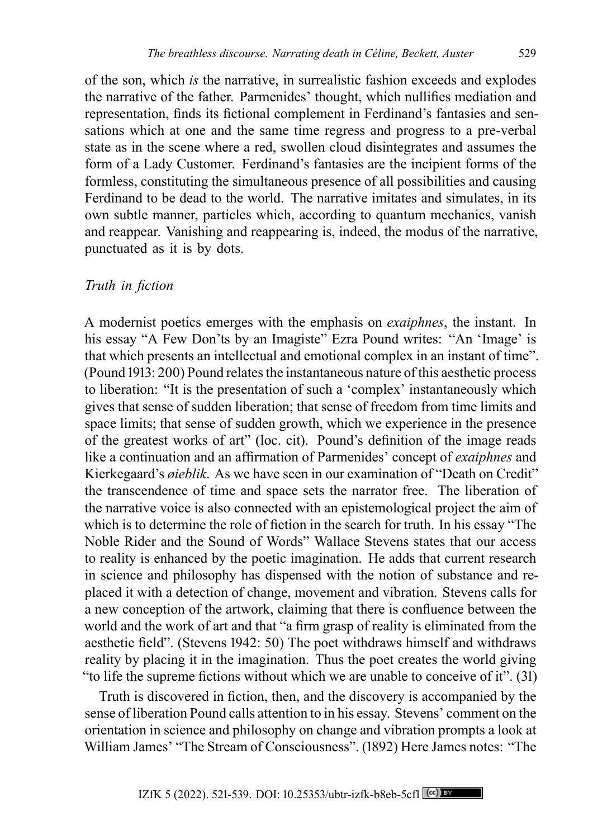of the son, which *is* the narrative, in surrealistic fashion exceeds and explodes the narrative of the father. Parmenides' thought, which nullifies mediation and representation, finds its fictional complement in Ferdinand's fantasies and sensations which at one and the same time regress and progress to a pre-verbal state as in the scene where a red, swollen cloud disintegrates and assumes the form of a Lady Customer. Ferdinand's fantasies are the incipient forms of the formless, constituting the simultaneous presence of all possibilities and causing Ferdinand to be dead to the world. The narrative imitates and simulates, in its own subtle manner, particles which, according to quantum mechanics, vanish and reappear. Vanishing and reappearing is, indeed, the modus of the narrative, punctuated as it is by dots.

# *Truth in fiction*

A modernist poetics emerges with the emphasis on *exaiphnes*, the instant. In his essay "A Few Don'ts by an Imagiste" Ezra Pound writes: "An 'Image' is that which presents an intellectual and emotional complex in an instant of time". (Pound 1913: 200) Pound relates the instantaneous nature of this aesthetic process to liberation: "It is the presentation of such a 'complex' instantaneously which gives that sense of sudden liberation; that sense of freedom from time limits and space limits; that sense of sudden growth, which we experience in the presence of the greatest works of art" (loc. cit). Pound's definition of the image reads like a continuation and an affirmation of Parmenides' concept of *exaiphnes* and Kierkegaard's *øieblik*. As we have seen in our examination of "Death on Credit" the transcendence of time and space sets the narrator free. The liberation of the narrative voice is also connected with an epistemological project the aim of which is to determine the role of fiction in the search for truth. In his essay "The Noble Rider and the Sound of Words" Wallace Stevens states that our access to reality is enhanced by the poetic imagination. He adds that current research in science and philosophy has dispensed with the notion of substance and replaced it with a detection of change, movement and vibration. Stevens calls for a new conception of the artwork, claiming that there is confluence between the world and the work of art and that "a firm grasp of reality is eliminated from the aesthetic field". (Stevens 1942: 50) The poet withdraws himself and withdraws reality by placing it in the imagination. Thus the poet creates the world giving "to life the supreme fictions without which we are unable to conceive of it". (31)

Truth is discovered in fiction, then, and the discovery is accompanied by the sense of liberation Pound calls attention to in his essay. Stevens' comment on the orientation in science and philosophy on change and vibration prompts a look at William James' "The Stream of Consciousness". (1892) Here James notes: "The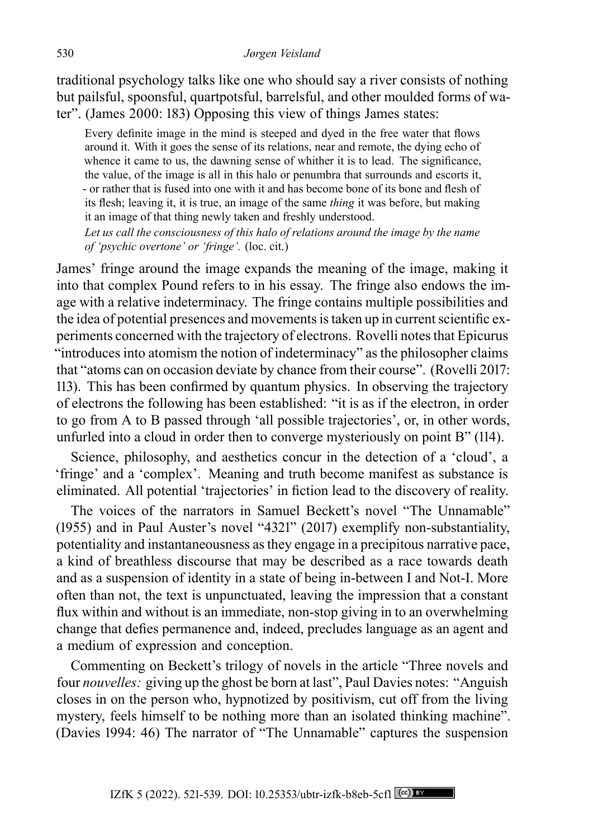traditional psychology talks like one who should say a river consists of nothing but pailsful, spoonsful, quartpotsful, barrelsful, and other moulded forms of water". (James 2000: 183) Opposing this view of things James states:

Every definite image in the mind is steeped and dyed in the free water that flows around it. With it goes the sense of its relations, near and remote, the dying echo of whence it came to us, the dawning sense of whither it is to lead. The significance, the value, of the image is all in this halo or penumbra that surrounds and escorts it, - or rather that is fused into one with it and has become bone of its bone and flesh of its flesh; leaving it, it is true, an image of the same *thing* it was before, but making it an image of that thing newly taken and freshly understood.

*Let us call the consciousness of this halo of relations around the image by the name of 'psychic overtone' or 'fringe'.* (loc. cit.)

James' fringe around the image expands the meaning of the image, making it into that complex Pound refers to in his essay. The fringe also endows the image with a relative indeterminacy. The fringe contains multiple possibilities and the idea of potential presences and movements is taken up in current scientific experiments concerned with the trajectory of electrons. Rovelli notes that Epicurus "introduces into atomism the notion of indeterminacy" as the philosopher claims that "atoms can on occasion deviate by chance from their course". (Rovelli 2017: 113). This has been confirmed by quantum physics. In observing the trajectory of electrons the following has been established: "it is as if the electron, in order to go from A to B passed through 'all possible trajectories', or, in other words, unfurled into a cloud in order then to converge mysteriously on point B" (114).

Science, philosophy, and aesthetics concur in the detection of a 'cloud', a 'fringe' and a 'complex'. Meaning and truth become manifest as substance is eliminated. All potential 'trajectories' in fiction lead to the discovery of reality.

The voices of the narrators in Samuel Beckett's novel "The Unnamable" (1955) and in Paul Auster's novel "4321" (2017) exemplify non-substantiality, potentiality and instantaneousness as they engage in a precipitous narrative pace, a kind of breathless discourse that may be described as a race towards death and as a suspension of identity in a state of being in-between I and Not-I. More often than not, the text is unpunctuated, leaving the impression that a constant flux within and without is an immediate, non-stop giving in to an overwhelming change that defies permanence and, indeed, precludes language as an agent and a medium of expression and conception.

Commenting on Beckett's trilogy of novels in the article "Three novels and four *nouvelles:* giving up the ghost be born at last", Paul Davies notes: "Anguish closes in on the person who, hypnotized by positivism, cut off from the living mystery, feels himself to be nothing more than an isolated thinking machine". (Davies 1994: 46) The narrator of "The Unnamable" captures the suspension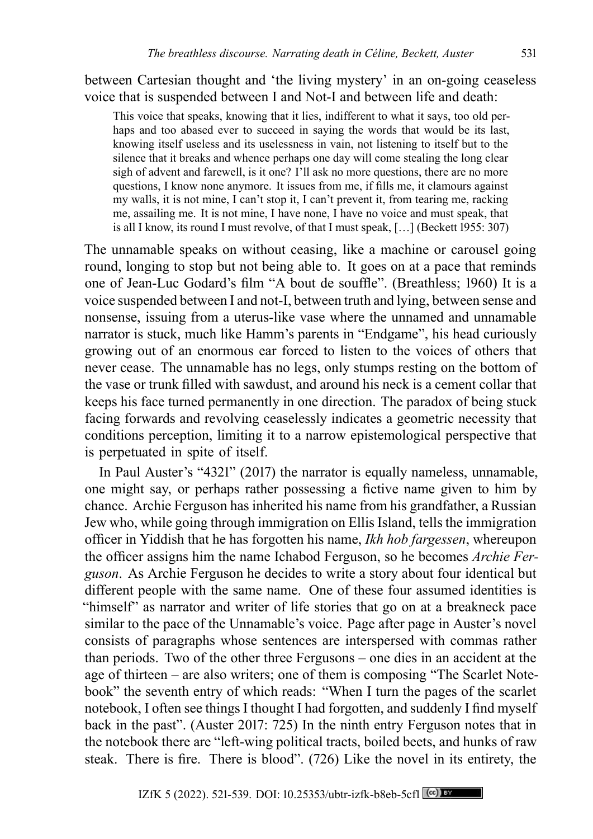between Cartesian thought and 'the living mystery' in an on-going ceaseless voice that is suspended between I and Not-I and between life and death:

This voice that speaks, knowing that it lies, indifferent to what it says, too old perhaps and too abased ever to succeed in saying the words that would be its last, knowing itself useless and its uselessness in vain, not listening to itself but to the silence that it breaks and whence perhaps one day will come stealing the long clear sigh of advent and farewell, is it one? I'll ask no more questions, there are no more questions, I know none anymore. It issues from me, if fills me, it clamours against my walls, it is not mine, I can't stop it, I can't prevent it, from tearing me, racking me, assailing me. It is not mine, I have none, I have no voice and must speak, that is all I know, its round I must revolve, of that I must speak, […] (Beckett 1955: 307)

The unnamable speaks on without ceasing, like a machine or carousel going round, longing to stop but not being able to. It goes on at a pace that reminds one of Jean-Luc Godard's film "A bout de souffle". (Breathless; 1960) It is a voice suspended between I and not-I, between truth and lying, between sense and nonsense, issuing from a uterus-like vase where the unnamed and unnamable narrator is stuck, much like Hamm's parents in "Endgame", his head curiously growing out of an enormous ear forced to listen to the voices of others that never cease. The unnamable has no legs, only stumps resting on the bottom of the vase or trunk filled with sawdust, and around his neck is a cement collar that keeps his face turned permanently in one direction. The paradox of being stuck facing forwards and revolving ceaselessly indicates a geometric necessity that conditions perception, limiting it to a narrow epistemological perspective that is perpetuated in spite of itself.

In Paul Auster's "4321" (2017) the narrator is equally nameless, unnamable, one might say, or perhaps rather possessing a fictive name given to him by chance. Archie Ferguson has inherited his name from his grandfather, a Russian Jew who, while going through immigration on Ellis Island, tells the immigration officer in Yiddish that he has forgotten his name, *Ikh hob fargessen*, whereupon the officer assigns him the name Ichabod Ferguson, so he becomes *Archie Ferguson*. As Archie Ferguson he decides to write a story about four identical but different people with the same name. One of these four assumed identities is "himself" as narrator and writer of life stories that go on at a breakneck pace similar to the pace of the Unnamable's voice. Page after page in Auster's novel consists of paragraphs whose sentences are interspersed with commas rather than periods. Two of the other three Fergusons – one dies in an accident at the age of thirteen – are also writers; one of them is composing "The Scarlet Notebook" the seventh entry of which reads: "When I turn the pages of the scarlet notebook, I often see things I thought I had forgotten, and suddenly I find myself back in the past". (Auster 2017: 725) In the ninth entry Ferguson notes that in the notebook there are "left-wing political tracts, boiled beets, and hunks of raw steak. There is fire. There is blood". (726) Like the novel in its entirety, the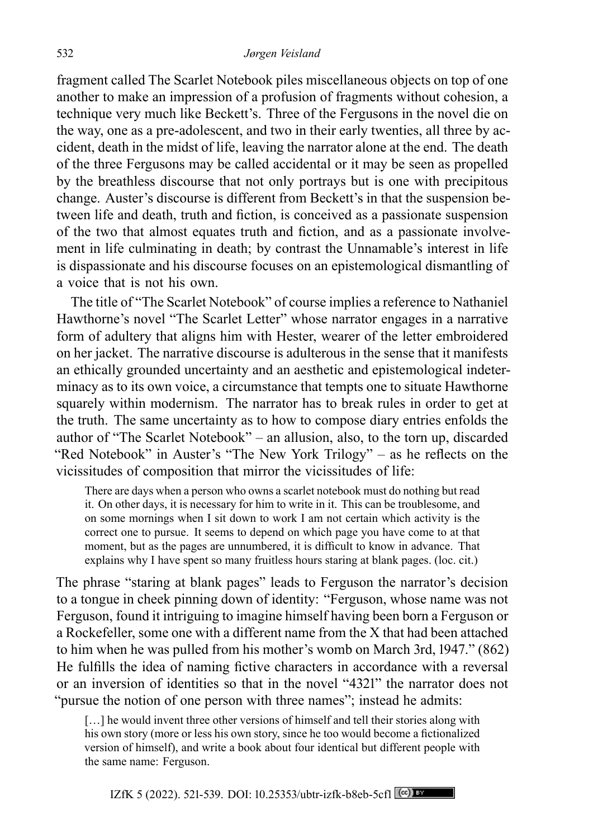fragment called The Scarlet Notebook piles miscellaneous objects on top of one another to make an impression of a profusion of fragments without cohesion, a technique very much like Beckett's. Three of the Fergusons in the novel die on the way, one as a pre-adolescent, and two in their early twenties, all three by accident, death in the midst of life, leaving the narrator alone at the end. The death of the three Fergusons may be called accidental or it may be seen as propelled by the breathless discourse that not only portrays but is one with precipitous change. Auster's discourse is different from Beckett's in that the suspension between life and death, truth and fiction, is conceived as a passionate suspension of the two that almost equates truth and fiction, and as a passionate involvement in life culminating in death; by contrast the Unnamable's interest in life is dispassionate and his discourse focuses on an epistemological dismantling of a voice that is not his own.

The title of "The Scarlet Notebook" of course implies a reference to Nathaniel Hawthorne's novel "The Scarlet Letter" whose narrator engages in a narrative form of adultery that aligns him with Hester, wearer of the letter embroidered on her jacket. The narrative discourse is adulterous in the sense that it manifests an ethically grounded uncertainty and an aesthetic and epistemological indeterminacy as to its own voice, a circumstance that tempts one to situate Hawthorne squarely within modernism. The narrator has to break rules in order to get at the truth. The same uncertainty as to how to compose diary entries enfolds the author of "The Scarlet Notebook" – an allusion, also, to the torn up, discarded "Red Notebook" in Auster's "The New York Trilogy" – as he reflects on the vicissitudes of composition that mirror the vicissitudes of life:

There are days when a person who owns a scarlet notebook must do nothing but read it. On other days, it is necessary for him to write in it. This can be troublesome, and on some mornings when I sit down to work I am not certain which activity is the correct one to pursue. It seems to depend on which page you have come to at that moment, but as the pages are unnumbered, it is difficult to know in advance. That explains why I have spent so many fruitless hours staring at blank pages. (loc. cit.)

The phrase "staring at blank pages" leads to Ferguson the narrator's decision to a tongue in cheek pinning down of identity: "Ferguson, whose name was not Ferguson, found it intriguing to imagine himself having been born a Ferguson or a Rockefeller, some one with a different name from the X that had been attached to him when he was pulled from his mother's womb on March 3rd, 1947." (862) He fulfills the idea of naming fictive characters in accordance with a reversal or an inversion of identities so that in the novel "4321" the narrator does not "pursue the notion of one person with three names"; instead he admits:

[...] he would invent three other versions of himself and tell their stories along with his own story (more or less his own story, since he too would become a fictionalized version of himself), and write a book about four identical but different people with the same name: Ferguson.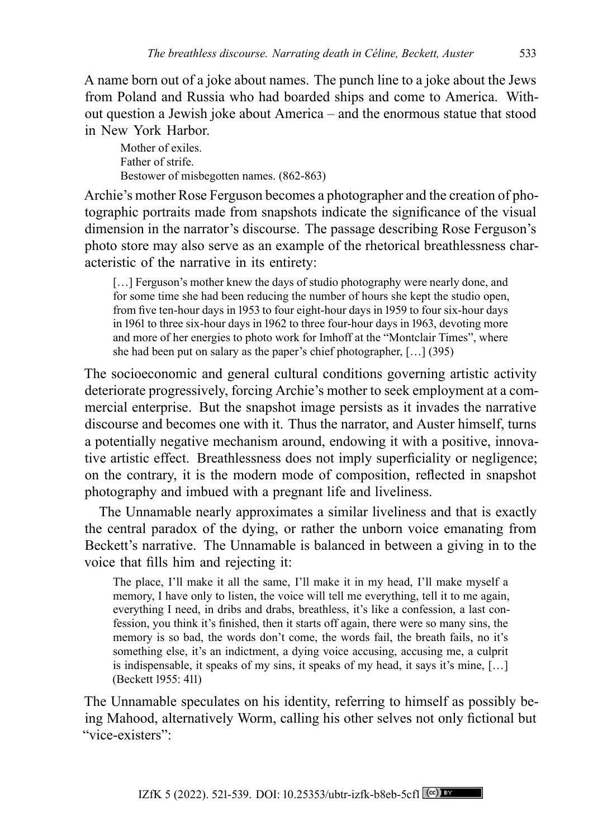A name born out of a joke about names. The punch line to a joke about the Jews from Poland and Russia who had boarded ships and come to America. Without question a Jewish joke about America – and the enormous statue that stood in New York Harbor.

Mother of exiles. Father of strife. Bestower of misbegotten names. (862-863)

Archie's mother Rose Ferguson becomes a photographer and the creation of photographic portraits made from snapshots indicate the significance of the visual dimension in the narrator's discourse. The passage describing Rose Ferguson's photo store may also serve as an example of the rhetorical breathlessness characteristic of the narrative in its entirety:

[...] Ferguson's mother knew the days of studio photography were nearly done, and for some time she had been reducing the number of hours she kept the studio open, from five ten-hour days in 1953 to four eight-hour days in 1959 to four six-hour days in 1961 to three six-hour days in 1962 to three four-hour days in 1963, devoting more and more of her energies to photo work for Imhoff at the "Montclair Times", where she had been put on salary as the paper's chief photographer, […] (395)

The socioeconomic and general cultural conditions governing artistic activity deteriorate progressively, forcing Archie's mother to seek employment at a commercial enterprise. But the snapshot image persists as it invades the narrative discourse and becomes one with it. Thus the narrator, and Auster himself, turns a potentially negative mechanism around, endowing it with a positive, innovative artistic effect. Breathlessness does not imply superficiality or negligence; on the contrary, it is the modern mode of composition, reflected in snapshot photography and imbued with a pregnant life and liveliness.

The Unnamable nearly approximates a similar liveliness and that is exactly the central paradox of the dying, or rather the unborn voice emanating from Beckett's narrative. The Unnamable is balanced in between a giving in to the voice that fills him and rejecting it:

The place, I'll make it all the same, I'll make it in my head, I'll make myself a memory, I have only to listen, the voice will tell me everything, tell it to me again, everything I need, in dribs and drabs, breathless, it's like a confession, a last confession, you think it's finished, then it starts off again, there were so many sins, the memory is so bad, the words don't come, the words fail, the breath fails, no it's something else, it's an indictment, a dying voice accusing, accusing me, a culprit is indispensable, it speaks of my sins, it speaks of my head, it says it's mine, […] (Beckett 1955: 411)

The Unnamable speculates on his identity, referring to himself as possibly being Mahood, alternatively Worm, calling his other selves not only fictional but "vice-existers":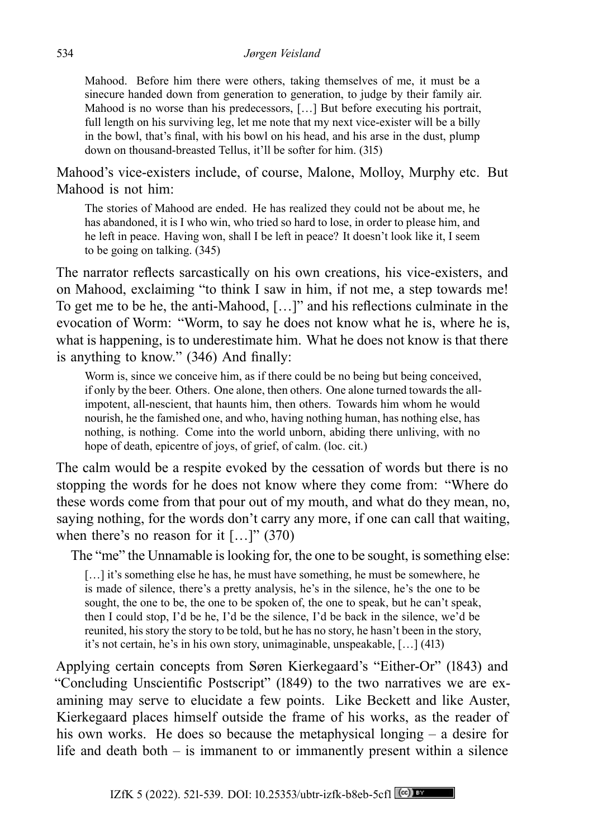Mahood. Before him there were others, taking themselves of me, it must be a sinecure handed down from generation to generation, to judge by their family air. Mahood is no worse than his predecessors, […] But before executing his portrait, full length on his surviving leg, let me note that my next vice-exister will be a billy in the bowl, that's final, with his bowl on his head, and his arse in the dust, plump down on thousand-breasted Tellus, it'll be softer for him. (315)

Mahood's vice-existers include, of course, Malone, Molloy, Murphy etc. But Mahood is not him:

The stories of Mahood are ended. He has realized they could not be about me, he has abandoned, it is I who win, who tried so hard to lose, in order to please him, and he left in peace. Having won, shall I be left in peace? It doesn't look like it, I seem to be going on talking. (345)

The narrator reflects sarcastically on his own creations, his vice-existers, and on Mahood, exclaiming "to think I saw in him, if not me, a step towards me! To get me to be he, the anti-Mahood, […]" and his reflections culminate in the evocation of Worm: "Worm, to say he does not know what he is, where he is, what is happening, is to underestimate him. What he does not know is that there is anything to know." (346) And finally:

Worm is, since we conceive him, as if there could be no being but being conceived, if only by the beer. Others. One alone, then others. One alone turned towards the allimpotent, all-nescient, that haunts him, then others. Towards him whom he would nourish, he the famished one, and who, having nothing human, has nothing else, has nothing, is nothing. Come into the world unborn, abiding there unliving, with no hope of death, epicentre of joys, of grief, of calm. (loc. cit.)

The calm would be a respite evoked by the cessation of words but there is no stopping the words for he does not know where they come from: "Where do these words come from that pour out of my mouth, and what do they mean, no, saying nothing, for the words don't carry any more, if one can call that waiting, when there's no reason for it  $[...]$ " (370)

The "me" the Unnamable is looking for, the one to be sought, is something else:

[...] it's something else he has, he must have something, he must be somewhere, he is made of silence, there's a pretty analysis, he's in the silence, he's the one to be sought, the one to be, the one to be spoken of, the one to speak, but he can't speak, then I could stop, I'd be he, I'd be the silence, I'd be back in the silence, we'd be reunited, his story the story to be told, but he has no story, he hasn't been in the story, it's not certain, he's in his own story, unimaginable, unspeakable, […] (413)

Applying certain concepts from Søren Kierkegaard's "Either-Or" (1843) and "Concluding Unscientific Postscript" (1849) to the two narratives we are examining may serve to elucidate a few points. Like Beckett and like Auster, Kierkegaard places himself outside the frame of his works, as the reader of his own works. He does so because the metaphysical longing – a desire for life and death both – is immanent to or immanently present within a silence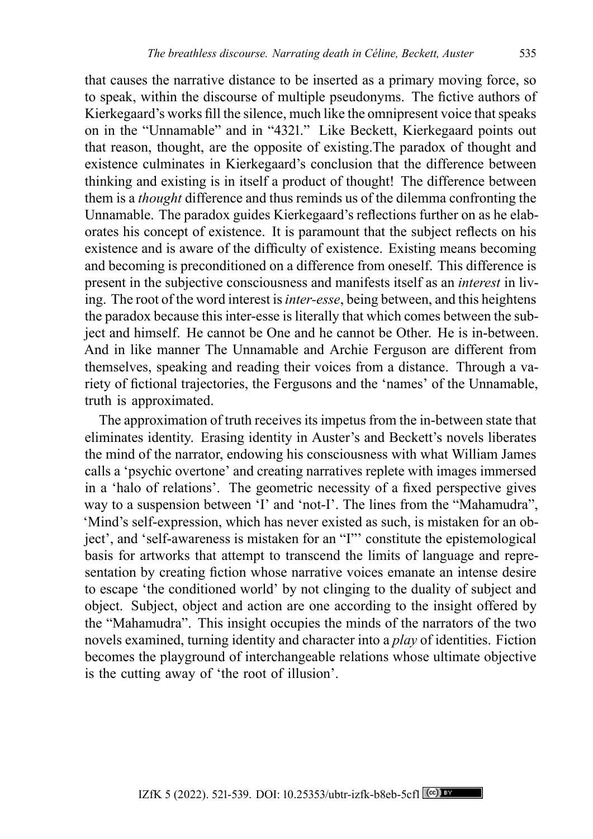that causes the narrative distance to be inserted as a primary moving force, so to speak, within the discourse of multiple pseudonyms. The fictive authors of Kierkegaard's works fill the silence, much like the omnipresent voice that speaks on in the "Unnamable" and in "4321." Like Beckett, Kierkegaard points out that reason, thought, are the opposite of existing.The paradox of thought and existence culminates in Kierkegaard's conclusion that the difference between thinking and existing is in itself a product of thought! The difference between them is a *thought* difference and thus reminds us of the dilemma confronting the Unnamable. The paradox guides Kierkegaard's reflections further on as he elaborates his concept of existence. It is paramount that the subject reflects on his existence and is aware of the difficulty of existence. Existing means becoming and becoming is preconditioned on a difference from oneself. This difference is present in the subjective consciousness and manifests itself as an *interest* in living. The root of the word interest is*inter-esse*, being between, and this heightens the paradox because this inter-esse is literally that which comes between the subject and himself. He cannot be One and he cannot be Other. He is in-between. And in like manner The Unnamable and Archie Ferguson are different from themselves, speaking and reading their voices from a distance. Through a variety of fictional trajectories, the Fergusons and the 'names' of the Unnamable, truth is approximated.

The approximation of truth receives its impetus from the in-between state that eliminates identity. Erasing identity in Auster's and Beckett's novels liberates the mind of the narrator, endowing his consciousness with what William James calls a 'psychic overtone' and creating narratives replete with images immersed in a 'halo of relations'. The geometric necessity of a fixed perspective gives way to a suspension between 'I' and 'not-I'. The lines from the "Mahamudra", 'Mind's self-expression, which has never existed as such, is mistaken for an object', and 'self-awareness is mistaken for an "I"' constitute the epistemological basis for artworks that attempt to transcend the limits of language and representation by creating fiction whose narrative voices emanate an intense desire to escape 'the conditioned world' by not clinging to the duality of subject and object. Subject, object and action are one according to the insight offered by the "Mahamudra". This insight occupies the minds of the narrators of the two novels examined, turning identity and character into a *play* of identities. Fiction becomes the playground of interchangeable relations whose ultimate objective is the cutting away of 'the root of illusion'.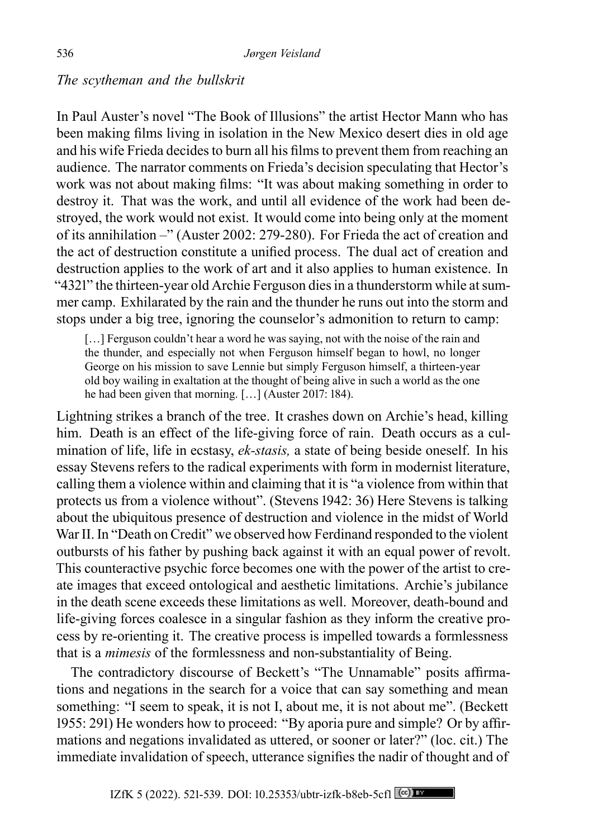# *The scytheman and the bullskrit*

In Paul Auster's novel "The Book of Illusions" the artist Hector Mann who has been making films living in isolation in the New Mexico desert dies in old age and his wife Frieda decides to burn all his films to prevent them from reaching an audience. The narrator comments on Frieda's decision speculating that Hector's work was not about making films: "It was about making something in order to destroy it. That was the work, and until all evidence of the work had been destroyed, the work would not exist. It would come into being only at the moment of its annihilation –" (Auster 2002: 279-280). For Frieda the act of creation and the act of destruction constitute a unified process. The dual act of creation and destruction applies to the work of art and it also applies to human existence. In "4321" the thirteen-year old Archie Ferguson dies in a thunderstorm while at summer camp. Exhilarated by the rain and the thunder he runs out into the storm and stops under a big tree, ignoring the counselor's admonition to return to camp:

[...] Ferguson couldn't hear a word he was saying, not with the noise of the rain and the thunder, and especially not when Ferguson himself began to howl, no longer George on his mission to save Lennie but simply Ferguson himself, a thirteen-year old boy wailing in exaltation at the thought of being alive in such a world as the one he had been given that morning. [...] (Auster 2017: 184).

Lightning strikes a branch of the tree. It crashes down on Archie's head, killing him. Death is an effect of the life-giving force of rain. Death occurs as a culmination of life, life in ecstasy, *ek-stasis,* a state of being beside oneself. In his essay Stevens refers to the radical experiments with form in modernist literature, calling them a violence within and claiming that it is "a violence from within that protects us from a violence without". (Stevens 1942: 36) Here Stevens is talking about the ubiquitous presence of destruction and violence in the midst of World War II. In "Death on Credit" we observed how Ferdinand responded to the violent outbursts of his father by pushing back against it with an equal power of revolt. This counteractive psychic force becomes one with the power of the artist to create images that exceed ontological and aesthetic limitations. Archie's jubilance in the death scene exceeds these limitations as well. Moreover, death-bound and life-giving forces coalesce in a singular fashion as they inform the creative process by re-orienting it. The creative process is impelled towards a formlessness that is a *mimesis* of the formlessness and non-substantiality of Being.

The contradictory discourse of Beckett's "The Unnamable" posits affirmations and negations in the search for a voice that can say something and mean something: "I seem to speak, it is not I, about me, it is not about me". (Beckett 1955: 291) He wonders how to proceed: "By aporia pure and simple? Or by affirmations and negations invalidated as uttered, or sooner or later?" (loc. cit.) The immediate invalidation of speech, utterance signifies the nadir of thought and of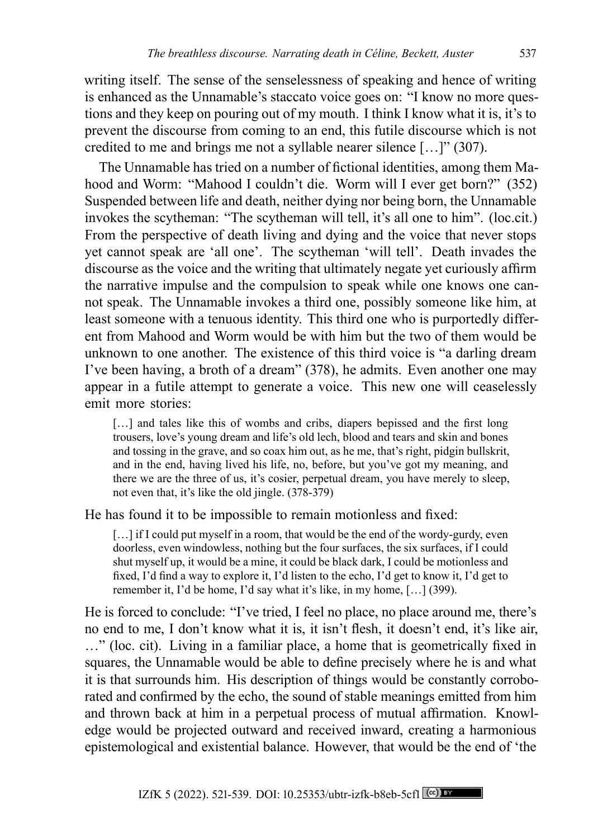writing itself. The sense of the senselessness of speaking and hence of writing is enhanced as the Unnamable's staccato voice goes on: "I know no more questions and they keep on pouring out of my mouth. I think I know what it is, it's to prevent the discourse from coming to an end, this futile discourse which is not credited to me and brings me not a syllable nearer silence […]" (307).

The Unnamable has tried on a number of fictional identities, among them Mahood and Worm: "Mahood I couldn't die. Worm will I ever get born?" (352) Suspended between life and death, neither dying nor being born, the Unnamable invokes the scytheman: "The scytheman will tell, it's all one to him". (loc.cit.) From the perspective of death living and dying and the voice that never stops yet cannot speak are 'all one'. The scytheman 'will tell'. Death invades the discourse as the voice and the writing that ultimately negate yet curiously affirm the narrative impulse and the compulsion to speak while one knows one cannot speak. The Unnamable invokes a third one, possibly someone like him, at least someone with a tenuous identity. This third one who is purportedly different from Mahood and Worm would be with him but the two of them would be unknown to one another. The existence of this third voice is "a darling dream I've been having, a broth of a dream" (378), he admits. Even another one may appear in a futile attempt to generate a voice. This new one will ceaselessly emit more stories:

[...] and tales like this of wombs and cribs, diapers bepissed and the first long trousers, love's young dream and life's old lech, blood and tears and skin and bones and tossing in the grave, and so coax him out, as he me, that's right, pidgin bullskrit, and in the end, having lived his life, no, before, but you've got my meaning, and there we are the three of us, it's cosier, perpetual dream, you have merely to sleep, not even that, it's like the old jingle. (378-379)

He has found it to be impossible to remain motionless and fixed:

[...] if I could put myself in a room, that would be the end of the wordy-gurdy, even doorless, even windowless, nothing but the four surfaces, the six surfaces, if I could shut myself up, it would be a mine, it could be black dark, I could be motionless and fixed, I'd find a way to explore it, I'd listen to the echo, I'd get to know it, I'd get to remember it, I'd be home, I'd say what it's like, in my home, […] (399).

He is forced to conclude: "I've tried, I feel no place, no place around me, there's no end to me, I don't know what it is, it isn't flesh, it doesn't end, it's like air, …" (loc. cit). Living in a familiar place, a home that is geometrically fixed in squares, the Unnamable would be able to define precisely where he is and what it is that surrounds him. His description of things would be constantly corroborated and confirmed by the echo, the sound of stable meanings emitted from him and thrown back at him in a perpetual process of mutual affirmation. Knowledge would be projected outward and received inward, creating a harmonious epistemological and existential balance. However, that would be the end of 'the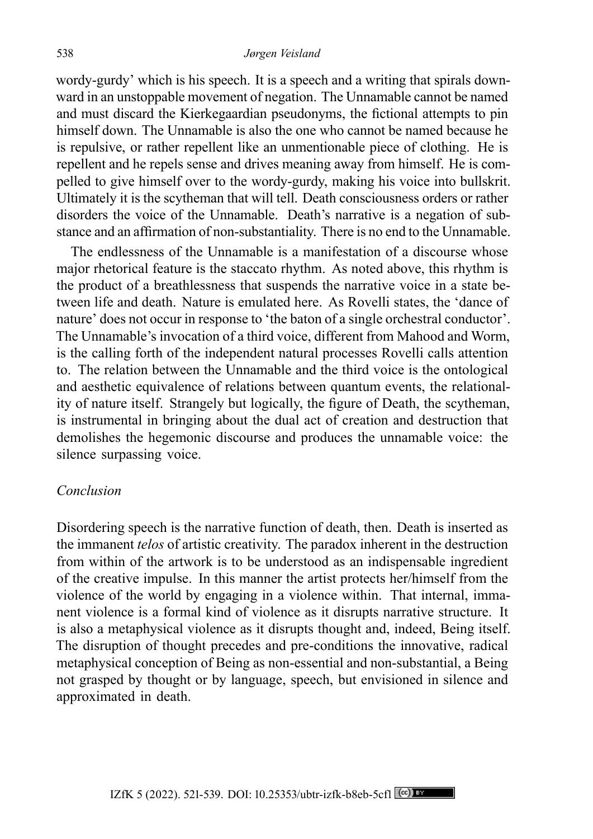wordy-gurdy' which is his speech. It is a speech and a writing that spirals downward in an unstoppable movement of negation. The Unnamable cannot be named and must discard the Kierkegaardian pseudonyms, the fictional attempts to pin himself down. The Unnamable is also the one who cannot be named because he is repulsive, or rather repellent like an unmentionable piece of clothing. He is repellent and he repels sense and drives meaning away from himself. He is compelled to give himself over to the wordy-gurdy, making his voice into bullskrit. Ultimately it is the scytheman that will tell. Death consciousness orders or rather disorders the voice of the Unnamable. Death's narrative is a negation of substance and an affirmation of non-substantiality. There is no end to the Unnamable.

The endlessness of the Unnamable is a manifestation of a discourse whose major rhetorical feature is the staccato rhythm. As noted above, this rhythm is the product of a breathlessness that suspends the narrative voice in a state between life and death. Nature is emulated here. As Rovelli states, the 'dance of nature' does not occur in response to 'the baton of a single orchestral conductor'. The Unnamable's invocation of a third voice, different from Mahood and Worm, is the calling forth of the independent natural processes Rovelli calls attention to. The relation between the Unnamable and the third voice is the ontological and aesthetic equivalence of relations between quantum events, the relationality of nature itself. Strangely but logically, the figure of Death, the scytheman, is instrumental in bringing about the dual act of creation and destruction that demolishes the hegemonic discourse and produces the unnamable voice: the silence surpassing voice.

## *Conclusion*

Disordering speech is the narrative function of death, then. Death is inserted as the immanent *telos* of artistic creativity. The paradox inherent in the destruction from within of the artwork is to be understood as an indispensable ingredient of the creative impulse. In this manner the artist protects her/himself from the violence of the world by engaging in a violence within. That internal, immanent violence is a formal kind of violence as it disrupts narrative structure. It is also a metaphysical violence as it disrupts thought and, indeed, Being itself. The disruption of thought precedes and pre-conditions the innovative, radical metaphysical conception of Being as non-essential and non-substantial, a Being not grasped by thought or by language, speech, but envisioned in silence and approximated in death.